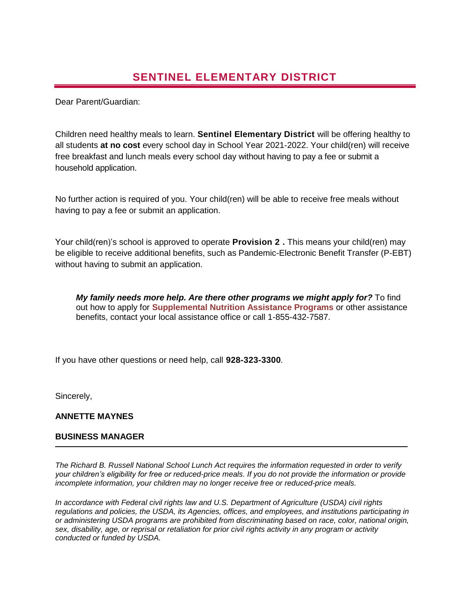Dear Parent/Guardian:

Children need healthy meals to learn. **Sentinel Elementary District** will be offering healthy to all students **at no cost** every school day in School Year 2021-2022. Your child(ren) will receive free breakfast and lunch meals every school day without having to pay a fee or submit a household application.

No further action is required of you. Your child(ren) will be able to receive free meals without having to pay a fee or submit an application.

Your child(ren)'s school is approved to operate **Provision 2 .** This means your child(ren) may be eligible to receive additional benefits, such as Pandemic-Electronic Benefit Transfer (P-EBT) without having to submit an application.

*My family needs more help. Are there other programs we might apply for?* To find out how to apply for **Supplemental Nutrition Assistance Programs** or other assistance benefits, contact your local assistance office or call 1-855-432-7587.

If you have other questions or need help, call **928-323-3300***.*

Sincerely,

## **ANNETTE MAYNES**

## **BUSINESS MANAGER**

*The Richard B. Russell National School Lunch Act requires the information requested in order to verify your children's eligibility for free or reduced-price meals. If you do not provide the information or provide incomplete information, your children may no longer receive free or reduced-price meals.* 

*In accordance with Federal civil rights law and U.S. Department of Agriculture (USDA) civil rights regulations and policies, the USDA, its Agencies, offices, and employees, and institutions participating in or administering USDA programs are prohibited from discriminating based on race, color, national origin, sex, disability, age, or reprisal or retaliation for prior civil rights activity in any program or activity conducted or funded by USDA.*